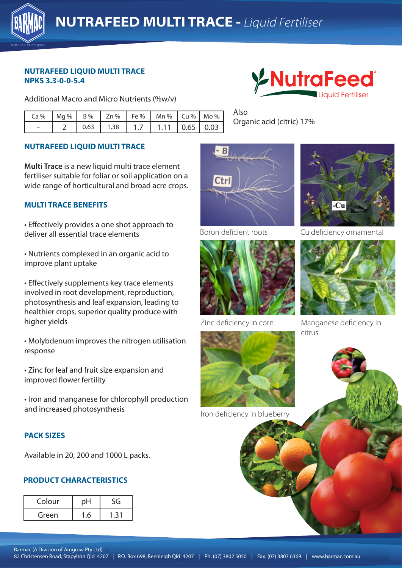

#### **NUTRAFEED LIQUID MULTI TRACE NPKS 3.3-0-0-5.4**

Additional Macro and Micro Nutrients (%w/v)

|  |      |      |    | $Ca\%$   Mg %   B %   Zn %   Fe %   Mn %   Cu %   Mo % |  |
|--|------|------|----|--------------------------------------------------------|--|
|  | 0.63 | 1.38 | 17 | $1.11$   0.65   0.03                                   |  |

# **NUTRAFEED LIQUID MULTI TRACE**

**Multi Trace** is a new liquid multi trace element fertiliser suitable for foliar or soil application on a wide range of horticultural and broad acre crops.

### **MULTI TRACE BENEFITS**

• Effectively provides a one shot approach to deliver all essential trace elements

improve plant uptake • Nutrients complexed in an organic acid to

• Effectively supplements key trace elements involved in root development, reproduction, photosynthesis and leaf expansion, leading to healthier crops, superior quality produce with higher yields

• Molybdenum improves the nitrogen utilisation response

• Zinc for leaf and fruit size expansion and improved flower fertility

• Iron and manganese for chlorophyll production and increased photosynthesis

### **PACK SIZES**

Available in 20, 200 and 1000 L packs.

### **PRODUCT CHARACTERISTICS**

| Colour |  |  |
|--------|--|--|
| Green  |  |  |



Also Organic acid (citric) 17%





Boron deficient roots Cu deficiency ornamental



Zinc deficiency in corn



Iron deficiency in blueberry



Manganese deficiency in citrus